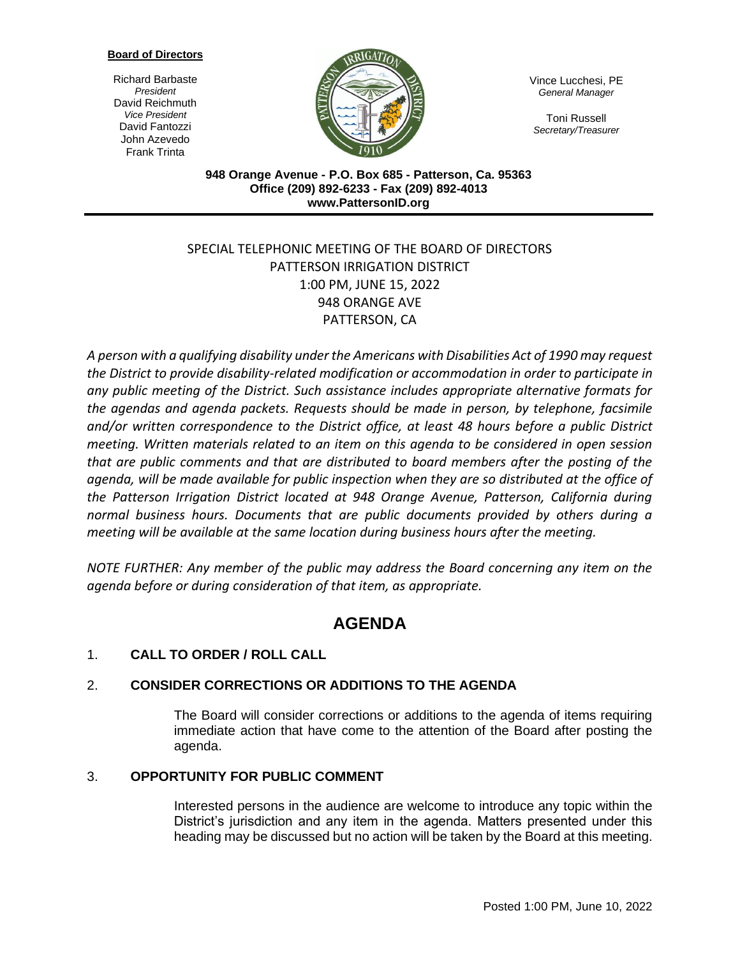#### **Board of Directors**

Richard Barbaste *President* David Reichmuth *Vice President* David Fantozzi John Azevedo Frank Trinta



Vince Lucchesi, PE *General Manager*

Toni Russell *Secretary/Treasurer*

**948 Orange Avenue - P.O. Box 685 - Patterson, Ca. 95363 Office (209) 892-6233 - Fax (209) 892-4013 www.PattersonID.org**

# SPECIAL TELEPHONIC MEETING OF THE BOARD OF DIRECTORS PATTERSON IRRIGATION DISTRICT 1:00 PM, JUNE 15, 2022 948 ORANGE AVE PATTERSON, CA

*A person with a qualifying disability under the Americans with Disabilities Act of 1990 may request the District to provide disability-related modification or accommodation in order to participate in any public meeting of the District. Such assistance includes appropriate alternative formats for the agendas and agenda packets. Requests should be made in person, by telephone, facsimile and/or written correspondence to the District office, at least 48 hours before a public District meeting. Written materials related to an item on this agenda to be considered in open session that are public comments and that are distributed to board members after the posting of the agenda, will be made available for public inspection when they are so distributed at the office of the Patterson Irrigation District located at 948 Orange Avenue, Patterson, California during normal business hours. Documents that are public documents provided by others during a meeting will be available at the same location during business hours after the meeting.*

*NOTE FURTHER: Any member of the public may address the Board concerning any item on the agenda before or during consideration of that item, as appropriate.*

# **AGENDA**

# 1. **CALL TO ORDER / ROLL CALL**

## 2. **CONSIDER CORRECTIONS OR ADDITIONS TO THE AGENDA**

The Board will consider corrections or additions to the agenda of items requiring immediate action that have come to the attention of the Board after posting the agenda.

#### 3. **OPPORTUNITY FOR PUBLIC COMMENT**

Interested persons in the audience are welcome to introduce any topic within the District's jurisdiction and any item in the agenda. Matters presented under this heading may be discussed but no action will be taken by the Board at this meeting.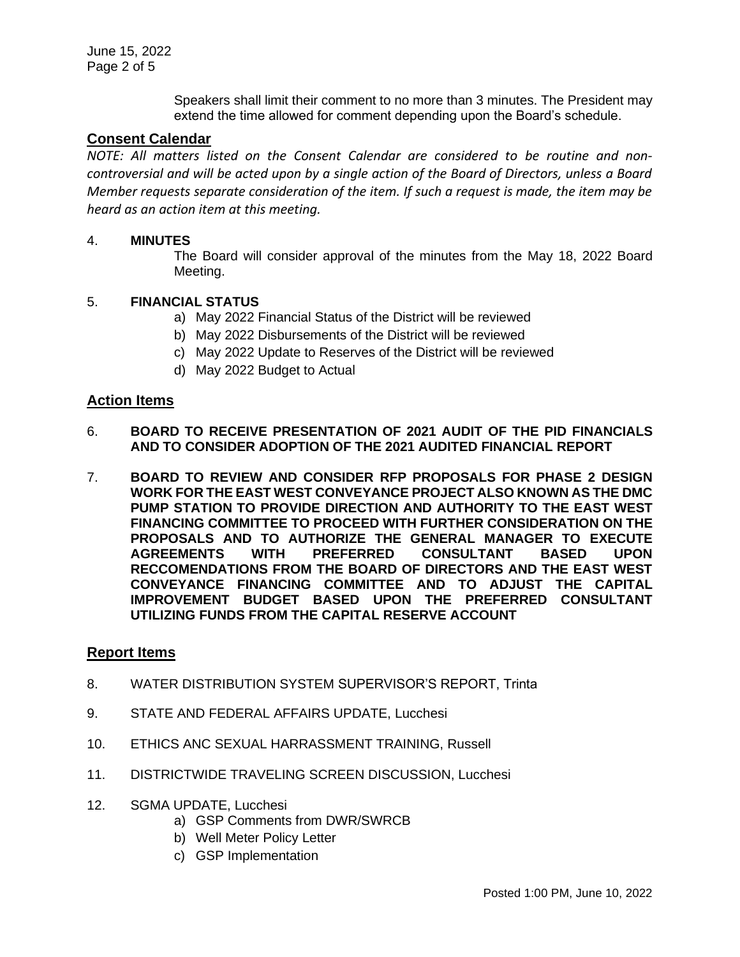Speakers shall limit their comment to no more than 3 minutes. The President may extend the time allowed for comment depending upon the Board's schedule.

#### **Consent Calendar**

*NOTE: All matters listed on the Consent Calendar are considered to be routine and noncontroversial and will be acted upon by a single action of the Board of Directors, unless a Board Member requests separate consideration of the item. If such a request is made, the item may be heard as an action item at this meeting.*

#### 4. **MINUTES**

The Board will consider approval of the minutes from the May 18, 2022 Board Meeting.

#### 5. **FINANCIAL STATUS**

- a) May 2022 Financial Status of the District will be reviewed
- b) May 2022 Disbursements of the District will be reviewed
- c) May 2022 Update to Reserves of the District will be reviewed
- d) May 2022 Budget to Actual

#### **Action Items**

- 6. **BOARD TO RECEIVE PRESENTATION OF 2021 AUDIT OF THE PID FINANCIALS AND TO CONSIDER ADOPTION OF THE 2021 AUDITED FINANCIAL REPORT**
- 7. **BOARD TO REVIEW AND CONSIDER RFP PROPOSALS FOR PHASE 2 DESIGN WORK FOR THE EAST WEST CONVEYANCE PROJECT ALSO KNOWN AS THE DMC PUMP STATION TO PROVIDE DIRECTION AND AUTHORITY TO THE EAST WEST FINANCING COMMITTEE TO PROCEED WITH FURTHER CONSIDERATION ON THE PROPOSALS AND TO AUTHORIZE THE GENERAL MANAGER TO EXECUTE AGREEMENTS WITH PREFERRED CONSULTANT BASED UPON RECCOMENDATIONS FROM THE BOARD OF DIRECTORS AND THE EAST WEST CONVEYANCE FINANCING COMMITTEE AND TO ADJUST THE CAPITAL IMPROVEMENT BUDGET BASED UPON THE PREFERRED CONSULTANT UTILIZING FUNDS FROM THE CAPITAL RESERVE ACCOUNT**

### **Report Items**

- 8. WATER DISTRIBUTION SYSTEM SUPERVISOR'S REPORT, Trinta
- 9. STATE AND FEDERAL AFFAIRS UPDATE, Lucchesi
- 10. ETHICS ANC SEXUAL HARRASSMENT TRAINING, Russell
- 11. DISTRICTWIDE TRAVELING SCREEN DISCUSSION, Lucchesi
- 12. SGMA UPDATE, Lucchesi
	- a) GSP Comments from DWR/SWRCB
	- b) Well Meter Policy Letter
	- c) GSP Implementation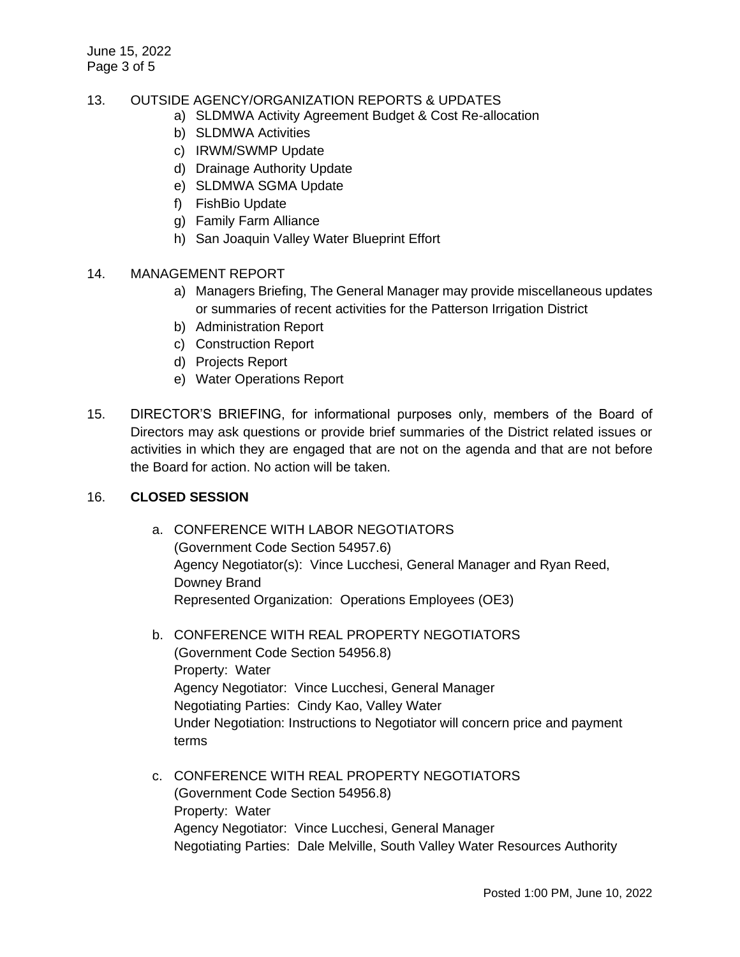#### 13. OUTSIDE AGENCY/ORGANIZATION REPORTS & UPDATES

- a) SLDMWA Activity Agreement Budget & Cost Re-allocation
- b) SLDMWA Activities
- c) IRWM/SWMP Update
- d) Drainage Authority Update
- e) SLDMWA SGMA Update
- f) FishBio Update
- g) Family Farm Alliance
- h) San Joaquin Valley Water Blueprint Effort

#### 14. MANAGEMENT REPORT

- a) Managers Briefing, The General Manager may provide miscellaneous updates or summaries of recent activities for the Patterson Irrigation District
- b) Administration Report
- c) Construction Report
- d) Projects Report
- e) Water Operations Report
- 15. DIRECTOR'S BRIEFING, for informational purposes only, members of the Board of Directors may ask questions or provide brief summaries of the District related issues or activities in which they are engaged that are not on the agenda and that are not before the Board for action. No action will be taken.

#### 16. **CLOSED SESSION**

- a. CONFERENCE WITH LABOR NEGOTIATORS (Government Code Section 54957.6) Agency Negotiator(s): Vince Lucchesi, General Manager and Ryan Reed, Downey Brand Represented Organization: Operations Employees (OE3)
- b. CONFERENCE WITH REAL PROPERTY NEGOTIATORS (Government Code Section 54956.8) Property: Water Agency Negotiator: Vince Lucchesi, General Manager Negotiating Parties: Cindy Kao, Valley Water Under Negotiation: Instructions to Negotiator will concern price and payment terms
- c. CONFERENCE WITH REAL PROPERTY NEGOTIATORS (Government Code Section 54956.8) Property: Water Agency Negotiator: Vince Lucchesi, General Manager Negotiating Parties: Dale Melville, South Valley Water Resources Authority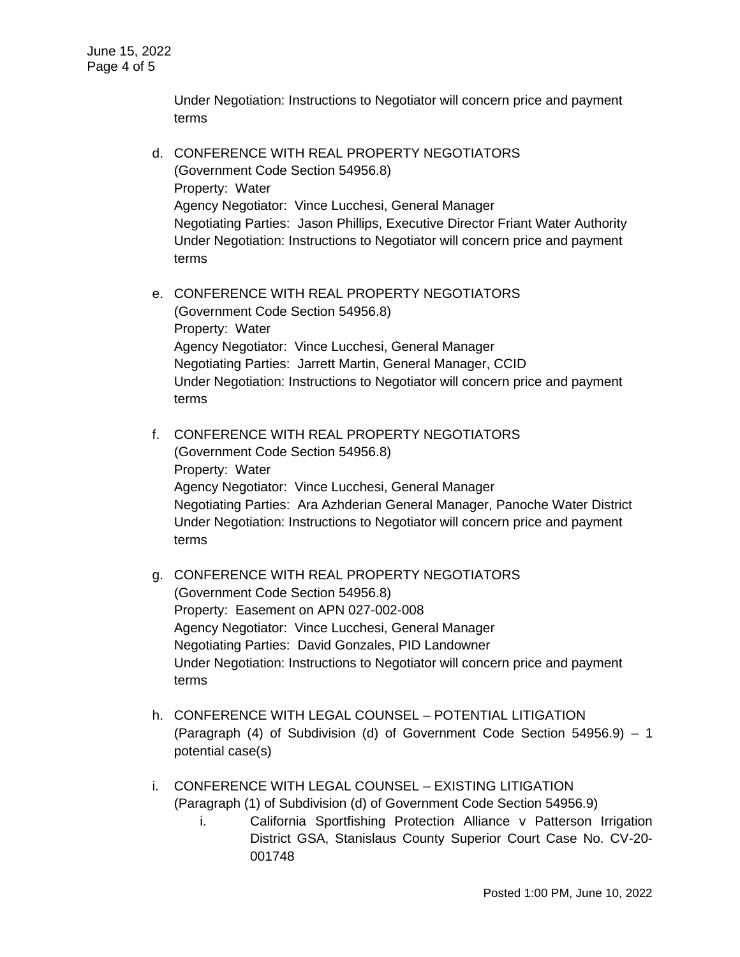Under Negotiation: Instructions to Negotiator will concern price and payment terms

- d. CONFERENCE WITH REAL PROPERTY NEGOTIATORS (Government Code Section 54956.8) Property: Water Agency Negotiator: Vince Lucchesi, General Manager Negotiating Parties: Jason Phillips, Executive Director Friant Water Authority Under Negotiation: Instructions to Negotiator will concern price and payment terms
- e. CONFERENCE WITH REAL PROPERTY NEGOTIATORS (Government Code Section 54956.8) Property: Water Agency Negotiator: Vince Lucchesi, General Manager Negotiating Parties: Jarrett Martin, General Manager, CCID Under Negotiation: Instructions to Negotiator will concern price and payment terms
- f. CONFERENCE WITH REAL PROPERTY NEGOTIATORS (Government Code Section 54956.8) Property: Water Agency Negotiator: Vince Lucchesi, General Manager Negotiating Parties: Ara Azhderian General Manager, Panoche Water District Under Negotiation: Instructions to Negotiator will concern price and payment terms
- g. CONFERENCE WITH REAL PROPERTY NEGOTIATORS (Government Code Section 54956.8) Property: Easement on APN 027-002-008 Agency Negotiator: Vince Lucchesi, General Manager Negotiating Parties: David Gonzales, PID Landowner Under Negotiation: Instructions to Negotiator will concern price and payment terms
- h. CONFERENCE WITH LEGAL COUNSEL POTENTIAL LITIGATION (Paragraph (4) of Subdivision (d) of Government Code Section 54956.9) – 1 potential case(s)
- i. CONFERENCE WITH LEGAL COUNSEL EXISTING LITIGATION (Paragraph (1) of Subdivision (d) of Government Code Section 54956.9)
	- i. California Sportfishing Protection Alliance v Patterson Irrigation District GSA, Stanislaus County Superior Court Case No. CV-20- 001748